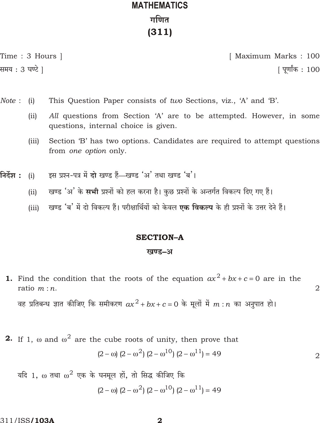# **MATHEMATICS** गणित  $(311)$

Time: 3 Hours | समय : 3 घण्टे ]

[ Maximum Marks: 100 <u> ।</u> पर्णांक : 100

 $\overline{2}$ 

- Note:  $(i)$ This Question Paper consists of two Sections, viz., 'A' and 'B'.
	- All questions from Section 'A' are to be attempted. However, in some  $(ii)$ questions, internal choice is given.
	- $(iii)$ Section 'B' has two options. Candidates are required to attempt questions from one option only.
- निर्देश : इस प्रश्न-पत्र में दो खण्ड हैं—खण्ड 'अ' तथा खण्ड 'ब'।  $(i)$ 
	- खण्ड 'अ' के सभी प्रश्नों को हल करना है। कुछ प्रश्नों के अन्तर्गत विकल्प दिए गए हैं।  $(ii)$
	- खण्ड 'ब' में दो विकल्प हैं। परीक्षार्थियों को केवल **एक विकल्प** के ही प्रश्नों के उत्तर देने हैं।  $(iii)$

### **SECTION-A**

#### खण्ड–अ

**1.** Find the condition that the roots of the equation  $ax^2$  bx c 0 are in the ratio  $m:n$ .

वह प्रतिबन्ध ज्ञात कीजिए कि समीकरण  $ax^2$  bx c 0 के मूलों में  $m$  : n का अनुपात हो।

**2.** If 1, and  $\frac{2}{7}$  are the cube roots of unity, then prove that  $(2)$ 

$$
2 \t (2^{2}) (2^{10}) (2^{11}) \t 49 \t 2
$$

तथा  $^{-2}$  एक के घनमूल हों, तो सिद्ध कीजिए कि यदि 1.

 $(2)(2)^2$   $(2)^{2}$   $(2)^{10}$   $(2)^{11}$  49

311/ISS**/103A** 

 $\mathbf{2}$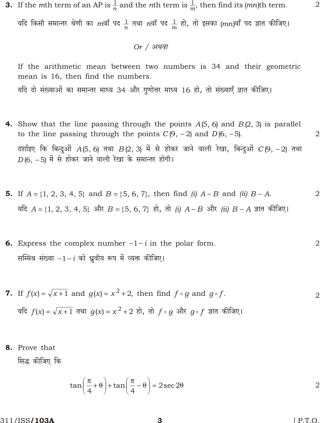**3.** If the *m*th term of an AP is  $\frac{1}{n}$  and the *n*th term is  $\frac{1}{m}$ , then find its (*mn*)th term. यदि किसी समान्तर श्रेणी का mवाँ पद  $\frac{1}{n}$  तथा nवाँ पद  $\frac{1}{m}$  हो, तो इसका (mn)वाँ पद ज्ञात कीजिए।

<u>Or / अथवा</u>

If the arithmetic mean between two numbers is 34 and their geometric mean is 16, then find the numbers. यदि दो संख्याओं का समान्तर माध्य 34 और गुणोत्तर माध्य 16 हो, तो संख्याएँ ज्ञात कीजिए।

- **4.** Show that the line passing through the points  $A(5, 6)$  and  $B(2, 3)$  is parallel to the line passing through the points  $C(9, 2)$  and  $D(6, 5)$ .  $\overline{2}$ दर्शाइए कि बिन्दुओं  $A(5, 6)$  तथा  $B(2, 3)$  में से होकर जाने वाली रेखा, बिन्दुओं  $C(9, 2)$  तथा  $D(6, 5)$  में से होकर जाने वाली रेखा के समान्तर होगी।
- **5.** If  $A$  {1, 2, 3, 4, 5} and  $B$  {5, 6, 7}, then find (i) A  $B$  and (ii)  $B$  A.  $\overline{2}$ यदि A {1, 2, 3, 4, 5} और B {5, 6, 7} हो, तो (i) A B और (ii) B A ज्ञात कीजिए।
- $\overline{2}$ **6.** Express the complex number  $1$  in the polar form. सम्मिश्र संख्या 1 i को ध्रूवीय रूप में व्यक्त कीजिए।
- **7.** If  $f(x)$   $\sqrt{x}$  1 and  $g(x)$   $x^2$  2, then find  $f \circ g$  and  $g \circ f$ .  $\overline{2}$ यदि  $f(x)$   $\sqrt{x}$  1 तथा  $g(x)$   $x^2$  2 हो, तो  $f \circ g$  और  $g \circ f$  ज्ञात कीजिए।
- 8. Prove that

सिद्ध कीजिए कि

$$
\tan \frac{-}{4} \qquad \tan \frac{-}{4} \qquad 2\sec 2 \qquad \qquad 2
$$

311/ISS**/103A** 

 $[$  P.T.O.

 $\overline{2}$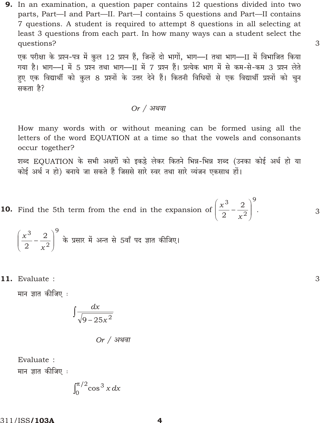**9.** In an examination, a question paper contains 12 questions divided into two parts, Part-I and Part-II. Part-I contains 5 questions and Part-II contains 7 questions. A student is required to attempt 8 questions in all selecting at least 3 questions from each part. In how many ways can a student select the questions?

एक परीक्षा के प्रश्न-पत्र में कुल 12 प्रश्न हैं, जिन्हें दो भागों, भाग- यतथा भाग- II में विभाजित किया गया है। भाग- यें 5 प्रश्न तथा भाग- II में 7 प्रश्न हैं। प्रत्येक भाग में से कम-से-कम 3 प्रश्न लेते हुए एक विद्यार्थी को कुल 8 प्रश्नों के उत्तर देने हैं। कितनी विधियों से एक विद्यार्थी प्रश्नों को चुन सकता है?

3

3

3

Or 
$$
/
$$
 अथवा

How many words with or without meaning can be formed using all the letters of the word EQUATION at a time so that the vowels and consonants occur together?

शब्द EQUATION के सभी अक्षरों को इकड़े लेकर कितने भिन्न-भिन्न शब्द (उनका कोई अर्थ हो या कोई अर्थ न हो) बनाये जा सकते हैं जिससे सारे स्वर तथा सारे व्यंजन एकसाथ हों।

**10.** Find the 5th term from the end in the expansion of  $\frac{x^3}{2}$   $\frac{2}{x^2}$   $\frac{9}{x^2}$ .

$$
\frac{x^3}{2}~\frac{2}{x^2}~^9
$$
 के प्रसार में अन्त से 5वाँ पद ज्ञात कीजिए।

11. Evaluate :

मान ज्ञात कीजिए :

$$
\frac{dx}{\sqrt{9-25x^2}}
$$

Or 
$$
/
$$
 अथवा

Evaluate : मान ज्ञात कीजिए :

$$
\int_0^{1/2} \cos^3 x \, dx
$$

311/ISS**/103A**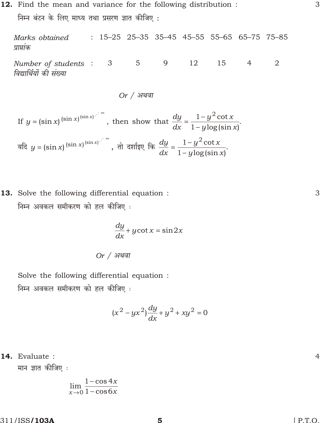12. Find the mean and variance for the following distribution : निम्न बंटन के लिए माध्य तथा प्रसरण ज्ञात कीजिए:

Marks obtained  $: 15-25$  25-35 35-45 45-55 55-65 65-75 75-85 प्राप्तांक

Number of students :  $3 \qquad 5$ 12 9 15  $\overline{4}$ 2 विद्यार्थियों की संख्या

Or 
$$
/
$$
 अथवा

If 
$$
y = (\sin x)^{(\sin x)^{(\sin x)}}
$$
, then show that  $\frac{dy}{dx} = \frac{1}{1} \frac{y^2 \cot x}{y \log(\sin x)}$ .

\nIf  $y = (\sin x)^{(\sin x)^{(\sin x)}}$ , then show that  $\frac{dy}{dx} = \frac{1}{1} \frac{y^2 \cot x}{y \log(\sin x)}$ .

13. Solve the following differential equation : निम्न अवकल समीकरण को हल कीजिए :

$$
\frac{dy}{dx} y \cot x \quad \sin 2x
$$

Or 
$$
/
$$
 अथवा

Solve the following differential equation : निम्न अवकल समीकरण को हल कीजिए :

$$
(x^2 yx^2)\frac{dy}{dx} y^2 xy^2 0
$$

14. Evaluate :

मान ज्ञात कीजिए :

$$
\lim_{x \to 0} \frac{1 \cos 4x}{1 \cos 6x}
$$

311/ISS/103A

 $[$  P.T.O.

3

3

5

 $\overline{4}$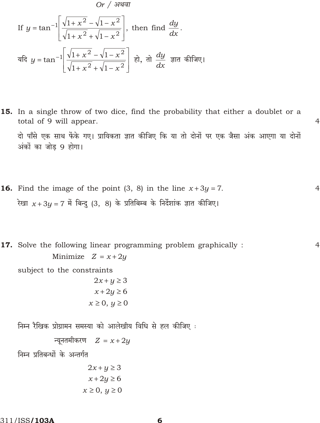$$
Or / 31
$$
\nIf  $y = \tan^{-1} \frac{\sqrt{1 + x^2} - \sqrt{1 + x^2}}{\sqrt{1 + x^2} + \sqrt{1 + x^2}}$ , then find  $\frac{dy}{dx}$ .  
\n
$$
\frac{dy}{dx} = \tan^{-1} \frac{\sqrt{1 + x^2} - \sqrt{1 + x^2}}{\sqrt{1 + x^2} + \sqrt{1 + x^2}} = \frac{1}{\sqrt{1 + x^2}} \quad \frac{dy}{dx} = \frac{1}{\sqrt{1 + x^2}} \quad \frac{dy}{dx} = \frac{1}{\sqrt{1 + x^2}} \quad \frac{dy}{dx} = \frac{1}{\sqrt{1 + x^2}} \quad \frac{dy}{dx} = \frac{1}{\sqrt{1 + x^2}} \quad \frac{dy}{dx} = \frac{1}{\sqrt{1 + x^2}} \quad \frac{dy}{dx} = \frac{1}{\sqrt{1 + x^2}} \quad \frac{dy}{dx} = \frac{1}{\sqrt{1 + x^2}} \quad \frac{dy}{dx} = \frac{1}{\sqrt{1 + x^2}} \quad \frac{dy}{dx} = \frac{1}{\sqrt{1 + x^2}} \quad \frac{dy}{dx} = \frac{1}{\sqrt{1 + x^2}} \quad \frac{dy}{dx} = \frac{1}{\sqrt{1 + x^2}} \quad \frac{dy}{dx} = \frac{1}{\sqrt{1 + x^2}} \quad \frac{dy}{dx} = \frac{1}{\sqrt{1 + x^2}} \quad \frac{dy}{dx} = \frac{1}{\sqrt{1 + x^2}} \quad \frac{dy}{dx} = \frac{1}{\sqrt{1 + x^2}} \quad \frac{dy}{dx} = \frac{1}{\sqrt{1 + x^2}} \quad \frac{dy}{dx} = \frac{1}{\sqrt{1 + x^2}} \quad \frac{dy}{dx} = \frac{1}{\sqrt{1 + x^2}} \quad \frac{dy}{dx} = \frac{1}{\sqrt{1 + x^2}} \quad \frac{dy}{dx} = \frac{1}{\sqrt{1 + x^2}} \quad \frac{dy}{dx} = \frac{1}{\sqrt{1 + x^2}} \quad \frac{dy}{dx} = \frac{1}{\sqrt{1 + x^2}} \quad \frac{dy}{dx} = \frac{1}{\sqrt{1 + x^2}} \quad \frac{dy}{dx} = \frac{1}{\sqrt{1 + x^2}} \quad \frac{dy}{dx} = \frac{1}{\sqrt{1 + x^2}} \quad \frac{dy}{dx
$$

- 15. In a single throw of two dice, find the probability that either a doublet or a total of 9 will appear.  $\overline{4}$ दो पाँसे एक साथ फेंके गए। प्रायिकता ज्ञात कीजिए कि या तो दोनों पर एक जैसा अंक आएगा या दोनों अंकों का जोड 9 होगा।
- **16.** Find the image of the point  $(3, 8)$  in the line  $x \quad 3y \quad 7$ .  $\overline{4}$ रेखा  $x$  3y 7 में बिन्दु (3, 8) के प्रतिबिम्ब के निर्देशांक ज्ञात कीजिए।

17. Solve the following linear programming problem graphically :  $\overline{4}$ Minimize  $Z \times 2y$ subject to the constraints  $2x \quad y \quad 3$  $x$  2y 6  $x \quad 0, y \quad 0$ निम्न रैखिक प्रोग्रामन समस्या को आलेखीय विधि से हल कीजिए : न्यूनतमीकरण  $Z \propto 2y$ निम्न प्रतिबन्धों के अन्तर्गत

 $2x y 3$  $x$  2y 6  $x \quad 0, y \quad 0$ 

311/ISS**/103A**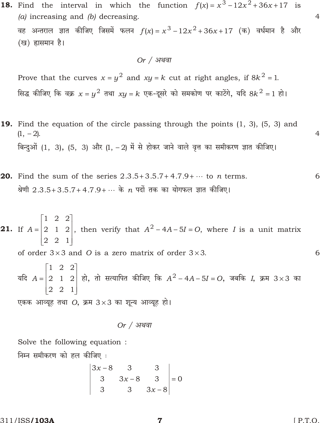- **18.** Find the interval in which the function  $f(x) = x^3 + 12x^2 + 36x + 17$  is (a) increasing and (b) decreasing.  $\overline{4}$ वह अन्तराल ज्ञात कीजिए जिसमें फलन  $f(x)$   $x^3$   $12x^2$  36x 17 (क) वर्धमान है और (ख) ह्रासमान है।  $Or / 31$ थवा Prove that the curves x  $y^2$  and xy k cut at right angles, if  $8k^2$  1. सिद्ध कीजिए कि वक्र  $x$   $y^2$  तथा  $xy$  k एक-दूसरे को समकोण पर काटेंगे, यदि 8 $k^2$  1 हो। **19.** Find the equation of the circle passing through the points  $(1, 3)$ ,  $(5, 3)$  and  $\overline{4}$  $(1, 2)$ . बिन्दुओं (1, 3), (5, 3) और (1, 2) में से होकर जाने वाले वृत्त का समीकरण ज्ञात कीजिए। **20.** Find the sum of the series 2.3.5 3.5.7 4.7.9  $\cdots$  to *n* terms. 6
- $1\quad 2\quad 2$ 2 1 2, then verify that  $A^2$  4A 5I O, where I is a unit matrix **21.** If A  $2\quad 2\quad 1$ of order 3 3 and O is a zero matrix of order 3 3. 6  $1 \quad 2 \quad 2$ 2 1 2 हो, तो सत्यापित कीजिए कि  $A^2$  4A 5I 0, जबकि I, क्रम 3 3 का यदि $A$  $2<sub>2</sub>$  $\overline{1}$ एकक आव्यूह तथा O, क्रम 3 3 का शून्य आव्यूह हो।

श्रेणी 2.3.5 3.5.7 4.7.9 ... के n पदों तक का योगफल ज्ञात कीजिए।

Solve the following equation: निम्न समीकरण को हल कीजिए:

$$
\begin{vmatrix} 3x & 8 & 3 & 3 \\ 3 & 3x & 8 & 3 \\ 3 & 3 & 3x & 8 \end{vmatrix} = 0
$$

311/ISS/103A

 $[$  P.T.O.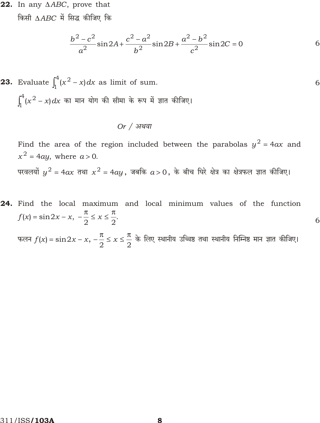22. In any ABC, prove that

किसी ABC में सिद्ध कीजिए कि

$$
\frac{b^2 c^2}{a^2} \sin 2A \frac{c^2 a^2}{b^2} \sin 2B \frac{a^2 b^2}{c^2} \sin 2C \quad 0
$$

6

**23.** Evaluate  $\int_{1}^{4} (x^2 - x) dx$  as limit of sum. 6  $\int_{1}^{4} (x^2 - x) dx$  का मान योग की सीमा के रूप में ज्ञात कीजिए।

#### $Or / 31$ थवा

Find the area of the region included between the parabolas  $y^2$  4ax and  $x^2$  4ay, where a 0. परवलयों  $y^2$  4 $ax$  तथा  $x^2$  4 $ay$ , जबकि  $a$  0, के बीच घिरे क्षेत्र का क्षेत्रफल ज्ञात कीजिए।

24. Find the local maximum and local minimum values of the function  $f(x)$  sin2x x,  $\frac{\ }{2}$  x  $\frac{\ }{2}$ . फलन  $f(x)$  sin2x x,  $\frac{1}{2}$  x  $\frac{1}{2}$  के लिए स्थानीय उच्चिष्ठ तथा स्थानीय निम्निष्ठ मान ज्ञात कीजिए।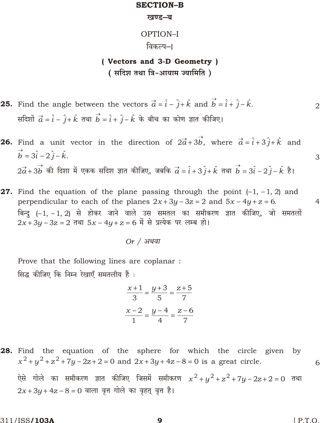#### **SECTION-B**

#### खण्ड-ब

#### OPTION-I

#### विकल्प–ा

# (Vectors and 3-D Geometry) (सदिश तथा त्रि-आयाम ज्यामिति)

**25.** Find the angle between the vectors  $\vec{a}$   $\hat{i}$   $\hat{j}$   $\hat{k}$  and  $\vec{b}$   $\hat{i}$   $\hat{j}$   $\hat{k}$ .  $\overline{2}$ सदिशों  $\vec{a}$   $\hat{i}$   $\hat{j}$   $\hat{k}$  तथा  $\vec{b}$   $\hat{i}$   $\hat{j}$   $\hat{k}$  के बीच का कोण ज्ञात कीजिए।

**26.** Find a unit vector in the direction of  $2\vec{a}$   $3\vec{b}$ , where  $\vec{a}$   $\hat{i}$   $3\hat{j}$   $\hat{k}$  and  $\vec{b}$   $3\hat{i}$   $2\hat{j}$   $\hat{k}$ .  $2\vec{a}$   $3\vec{b}$  की दिशा में एकक सदिश ज्ञात कीजिए, जबकि  $\vec{a}$   $\hat{i}$   $3\hat{j}$   $\hat{k}$  तथा  $\vec{b}$   $3\hat{i}$   $2\hat{j}$   $\hat{k}$  है।

**27.** Find the equation of the plane passing through the point  $(1, 1, 2)$  and perpendicular to each of the planes  $2x - 3y - 3z - 2$  and  $5x - 4y - z = 6$ .  $\overline{4}$ बिन्दु ( 1, 1, 2) से होकर जाने वाले उस समतल का समीकरण ज्ञात कीजिए, जो समतलों 2x 3y 3z 2 तथा 5x 4y z 6 में से प्रत्येक पर लम्ब हो।

Prove that the following lines are coplanar: सिद्ध कीजिए कि निम्न रेखाएँ समतलीय हैं :

$$
\begin{array}{c|cc}\nx & 1 & y & 3 & z & 5 \\
\hline\n3 & 5 & 7 & \\
x & 2 & y & 4 & z & 6 \\
\hline\n1 & 4 & 7 & & \\
x & 6 & 7 & & \\
x & 1 & 4 & 7 & & \\
x & 1 & 4 & 7 & & \\
x & 1 & 4 & 7 & & \\
x & 1 & 4 & 7 & & \\
x & 1 & 4 & 7 & & \\
x & 1 & 4 & 7 & & \\
x & 1 & 4 & 7 & & \\
x & 1 & 4 & 7 & & \\
x & 1 & 4 & 7 & & \\
x & 1 & 4 & 7 & & \\
x & 1 & 4 & 7 & & \\
x & 1 & 4 & 7 & & \\
x & 1 & 4 & 7 & & \\
x & 1 & 4 & 7 & & \\
x & 1 & 4 & 7 & & \\
x & 1 & 4 & 7 & & \\
x & 1 & 4 & 7 & & \\
x & 1 & 4 & 7 & & \\
x & 1 & 4 & 7 & & \\
x & 1 & 4 & 7 & & \\
x & 1 & 4 & 7 & & \\
x & 1 & 4 & 7 & & \\
x & 1 & 4 & 7 & & \\
x & 1 & 4 & 7 & & \\
x & 1 & 4 & 7 & & \\
x & 1 & 4 & 7 & & \\
x & 1 & 4 & 7 & & \\
x & 1 & 4 & 7 & & \\
x & 1 & 4 & 7 & & \\
x & 1 & 4 & 7 & & \\
x & 1 & 4 & 7 & & \\
x & 1 & 4 & 7 & & \\
x & 1 & 4 & 7 & & \\
x & 1 & 4 & 7 & & \\
x & 1 & 4 & 7 & & \\
x & 1 & 4 & 7 & & \\
x & 1 & 4 & 7 & & \\
x & 1 & 4 & 7 & & \\
x & 1 & 4 & 7 & & \\
x & 1 & 4 & 7 & & \\
x & 1 & 4 & 7 & & \\
x & 1 & 4 & 7 & & \\
x & 1 & 4 & 7 & & \\
x & 1 & 4 & 7 & & \\
x & 1 & 4 & 7 & & \\
x & 1 & 4 & 7 & & \\
x & 1 & 4 & 7 & & \\
x & 1 & 4 & 7 & & \\
x & 1 & 4 & 7 & & \\
x & 1 & 4 & 7 & & \\
x & 1 & 4 & 7 & & \\
x & 1 & 4 & 7 & & \\
x & 1 & 4 &
$$

28. Find the equation of the sphere for which the circle given by  $x^2$   $y^2$   $z^2$  7y 2z 2 0 and 2x 3y 4z 8 0 is a great circle. 6 ऐसे गोले का समीकरण ज्ञात कीजिए जिसमें समीकरण  $x^2$   $y^2$   $z^2$   $7y$  2 $z$  2 0 तथा  $2x$  3u 4z 8 0 वाला वृत्त गोले का वृहत् वृत्त है।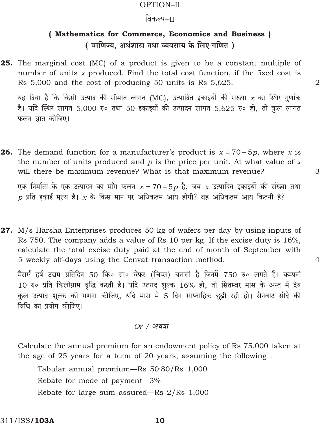#### OPTION-II

### विकल्प–II

# (Mathematics for Commerce, Economics and Business) (वाणिज्य. अर्थशास्त्र तथा व्यवसाय के लिए गणित)

25. The marginal cost (MC) of a product is given to be a constant multiple of number of units  $x$  produced. Find the total cost function, if the fixed cost is Rs 5,000 and the cost of producing 50 units is Rs 5,625.

यह दिया है कि किसी उत्पाद की सीमांत लागत (MC), उत्पादित इकाइयों की संख्या  $x$  का स्थिर गुणांक है। यदि स्थिर लागत 5,000 रु० तथा 50 इकाइयों की उत्पादन लागत 5,625 रु० हो, तो कुल लागत फलन ज्ञात कीजिए।

 $\overline{2}$ 

3

 $\overline{4}$ 

**26.** The demand function for a manufacturer's product is  $x$  70 5p, where x is the number of units produced and  $p$  is the price per unit. At what value of  $x$ will there be maximum revenue? What is that maximum revenue?

एक निर्माता के एक उत्पादन का माँग फलन  $x$  70 5 $p$  है, जब  $x$  उत्पादित इकाइयों की संख्या तथा  $p$  प्रति इकाई मूल्य है।  $x$  के किस मान पर अधिकतम आय होगी? वह अधिकतम आय कितनी है?

27. M/s Harsha Enterprises produces 50 kg of wafers per day by using inputs of Rs 750. The company adds a value of Rs 10 per kg. If the excise duty is 16%, calculate the total excise duty paid at the end of month of September with 5 weekly off-days using the Cenvat transaction method.

मैसर्स हर्ष उद्यम प्रतिदिन 50 कि० ग्रा० वेफर (चिप्स) बनाती है जिनमें 750 रु० लगते हैं। कम्पनी 10 रु० प्रति किलोग्राम वृद्धि करती है। यदि उत्पाद शुल्क 16% हो, तो सितम्बर मास के अन्त में देय कुल उत्पाद शुल्क की गणना कीजिए, यदि मास में 5 दिन साप्ताहिक छुट्टी रही हो। सैनवाट सौदे की विधि का प्रयोग कीजिए।

#### $Or / 31$ थवा

Calculate the annual premium for an endowment policy of Rs 75,000 taken at the age of 25 years for a term of 20 years, assuming the following :

Tabular annual premium—Rs  $50.80/Rs$  1,000 Rebate for mode of payment-3% Rebate for large sum assured—Rs 2/Rs 1,000